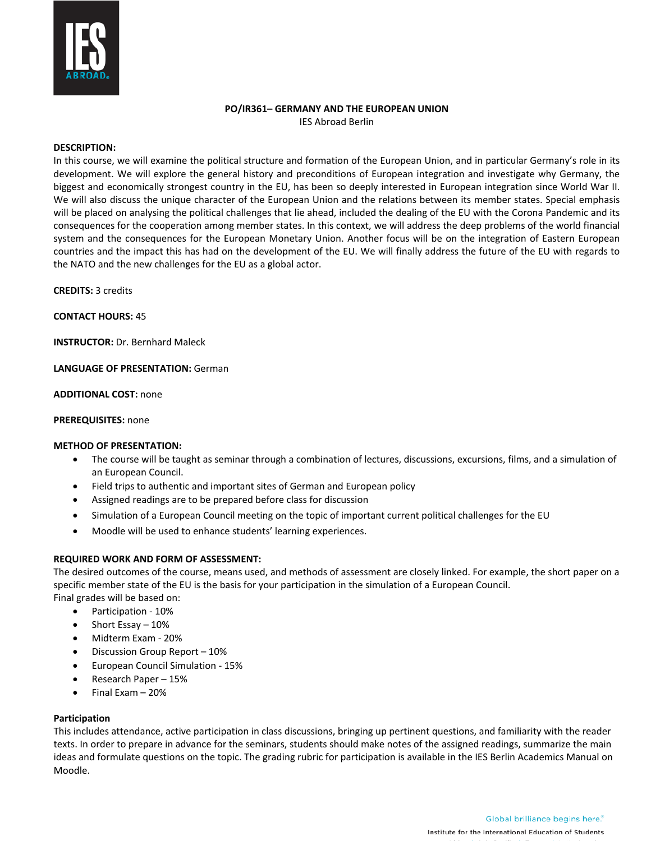

#### **PO/IR361– GERMANY AND THE EUROPEAN UNION** IES Abroad Berlin

### **DESCRIPTION:**

In this course, we will examine the political structure and formation of the European Union, and in particular Germany's role in its development. We will explore the general history and preconditions of European integration and investigate why Germany, the biggest and economically strongest country in the EU, has been so deeply interested in European integration since World War II. We will also discuss the unique character of the European Union and the relations between its member states. Special emphasis will be placed on analysing the political challenges that lie ahead, included the dealing of the EU with the Corona Pandemic and its consequences for the cooperation among member states. In this context, we will address the deep problems of the world financial system and the consequences for the European Monetary Union. Another focus will be on the integration of Eastern European countries and the impact this has had on the development of the EU. We will finally address the future of the EU with regards to the NATO and the new challenges for the EU as a global actor.

**CREDITS:** 3 credits

**CONTACT HOURS:** 45

**INSTRUCTOR:** Dr. Bernhard Maleck

**LANGUAGE OF PRESENTATION:** German

**ADDITIONAL COST:** none

### **PREREQUISITES:** none

### **METHOD OF PRESENTATION:**

- The course will be taught as seminar through a combination of lectures, discussions, excursions, films, and a simulation of an European Council.
- Field trips to authentic and important sites of German and European policy
- Assigned readings are to be prepared before class for discussion
- Simulation of a European Council meeting on the topic of important current political challenges for the EU
- Moodle will be used to enhance students' learning experiences.

### **REQUIRED WORK AND FORM OF ASSESSMENT:**

The desired outcomes of the course, means used, and methods of assessment are closely linked. For example, the short paper on a specific member state of the EU is the basis for your participation in the simulation of a European Council. Final grades will be based on:

- Participation 10%
- Short Essay 10%
- Midterm Exam 20%
- Discussion Group Report 10%
- European Council Simulation 15%
- Research Paper 15%
- Final Exam 20%

### **Participation**

This includes attendance, active participation in class discussions, bringing up pertinent questions, and familiarity with the reader texts. In order to prepare in advance for the seminars, students should make notes of the assigned readings, summarize the main ideas and formulate questions on the topic. The grading rubric for participation is available in the IES Berlin Academics Manual on Moodle.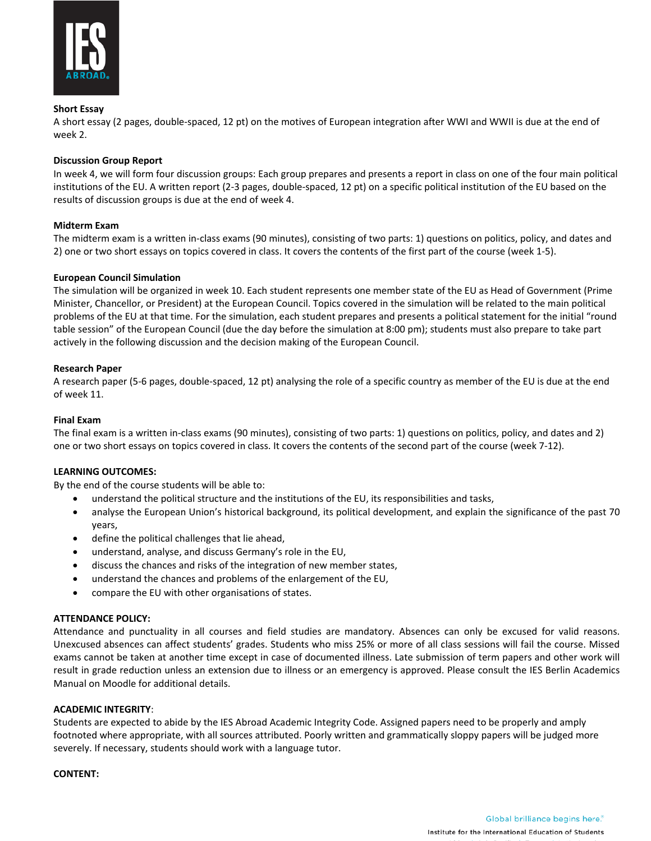

## **Short Essay**

A short essay (2 pages, double-spaced, 12 pt) on the motives of European integration after WWI and WWII is due at the end of week 2.

## **Discussion Group Report**

In week 4, we will form four discussion groups: Each group prepares and presents a report in class on one of the four main political institutions of the EU. A written report (2-3 pages, double-spaced, 12 pt) on a specific political institution of the EU based on the results of discussion groups is due at the end of week 4.

## **Midterm Exam**

The midterm exam is a written in-class exams (90 minutes), consisting of two parts: 1) questions on politics, policy, and dates and 2) one or two short essays on topics covered in class. It covers the contents of the first part of the course (week 1-5).

## **European Council Simulation**

The simulation will be organized in week 10. Each student represents one member state of the EU as Head of Government (Prime Minister, Chancellor, or President) at the European Council. Topics covered in the simulation will be related to the main political problems of the EU at that time. For the simulation, each student prepares and presents a political statement for the initial "round table session" of the European Council (due the day before the simulation at 8:00 pm); students must also prepare to take part actively in the following discussion and the decision making of the European Council.

## **Research Paper**

A research paper (5-6 pages, double-spaced, 12 pt) analysing the role of a specific country as member of the EU is due at the end of week 11.

## **Final Exam**

The final exam is a written in-class exams (90 minutes), consisting of two parts: 1) questions on politics, policy, and dates and 2) one or two short essays on topics covered in class. It covers the contents of the second part of the course (week 7-12).

## **LEARNING OUTCOMES:**

By the end of the course students will be able to:

- understand the political structure and the institutions of the EU, its responsibilities and tasks,
- analyse the European Union's historical background, its political development, and explain the significance of the past 70 years,
- define the political challenges that lie ahead,
- understand, analyse, and discuss Germany's role in the EU,
- discuss the chances and risks of the integration of new member states,
- understand the chances and problems of the enlargement of the EU,
- compare the EU with other organisations of states.

### **ATTENDANCE POLICY:**

Attendance and punctuality in all courses and field studies are mandatory. Absences can only be excused for valid reasons. Unexcused absences can affect students' grades. Students who miss 25% or more of all class sessions will fail the course. Missed exams cannot be taken at another time except in case of documented illness. Late submission of term papers and other work will result in grade reduction unless an extension due to illness or an emergency is approved. Please consult the IES Berlin Academics Manual on Moodle for additional details.

### **ACADEMIC INTEGRITY**:

Students are expected to abide by the IES Abroad Academic Integrity Code. Assigned papers need to be properly and amply footnoted where appropriate, with all sources attributed. Poorly written and grammatically sloppy papers will be judged more severely. If necessary, students should work with a language tutor.

### **CONTENT:**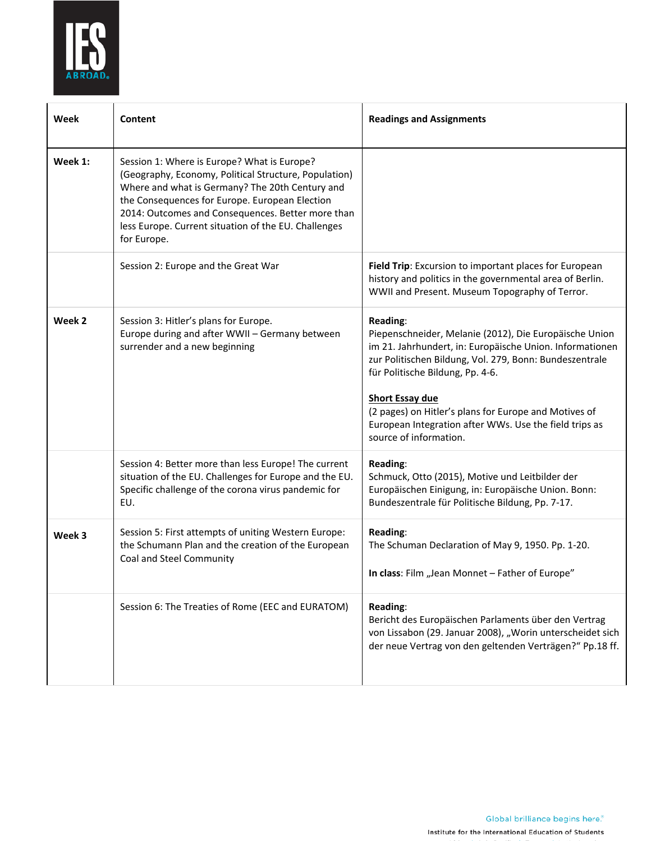

| Week    | Content                                                                                                                                                                                                                                                                                                                               | <b>Readings and Assignments</b>                                                                                                                                                                                                                                                                                                                                                                      |
|---------|---------------------------------------------------------------------------------------------------------------------------------------------------------------------------------------------------------------------------------------------------------------------------------------------------------------------------------------|------------------------------------------------------------------------------------------------------------------------------------------------------------------------------------------------------------------------------------------------------------------------------------------------------------------------------------------------------------------------------------------------------|
| Week 1: | Session 1: Where is Europe? What is Europe?<br>(Geography, Economy, Political Structure, Population)<br>Where and what is Germany? The 20th Century and<br>the Consequences for Europe. European Election<br>2014: Outcomes and Consequences. Better more than<br>less Europe. Current situation of the EU. Challenges<br>for Europe. |                                                                                                                                                                                                                                                                                                                                                                                                      |
|         | Session 2: Europe and the Great War                                                                                                                                                                                                                                                                                                   | Field Trip: Excursion to important places for European<br>history and politics in the governmental area of Berlin.<br>WWII and Present. Museum Topography of Terror.                                                                                                                                                                                                                                 |
| Week 2  | Session 3: Hitler's plans for Europe.<br>Europe during and after WWII - Germany between<br>surrender and a new beginning                                                                                                                                                                                                              | Reading:<br>Piepenschneider, Melanie (2012), Die Europäische Union<br>im 21. Jahrhundert, in: Europäische Union. Informationen<br>zur Politischen Bildung, Vol. 279, Bonn: Bundeszentrale<br>für Politische Bildung, Pp. 4-6.<br><b>Short Essay due</b><br>(2 pages) on Hitler's plans for Europe and Motives of<br>European Integration after WWs. Use the field trips as<br>source of information. |
|         | Session 4: Better more than less Europe! The current<br>situation of the EU. Challenges for Europe and the EU.<br>Specific challenge of the corona virus pandemic for<br>EU.                                                                                                                                                          | <b>Reading:</b><br>Schmuck, Otto (2015), Motive und Leitbilder der<br>Europäischen Einigung, in: Europäische Union. Bonn:<br>Bundeszentrale für Politische Bildung, Pp. 7-17.                                                                                                                                                                                                                        |
| Week 3  | Session 5: First attempts of uniting Western Europe:<br>the Schumann Plan and the creation of the European<br>Coal and Steel Community                                                                                                                                                                                                | Reading:<br>The Schuman Declaration of May 9, 1950. Pp. 1-20.<br>In class: Film "Jean Monnet - Father of Europe"                                                                                                                                                                                                                                                                                     |
|         | Session 6: The Treaties of Rome (EEC and EURATOM)                                                                                                                                                                                                                                                                                     | Reading:<br>Bericht des Europäischen Parlaments über den Vertrag<br>von Lissabon (29. Januar 2008), "Worin unterscheidet sich<br>der neue Vertrag von den geltenden Verträgen?" Pp.18 ff.                                                                                                                                                                                                            |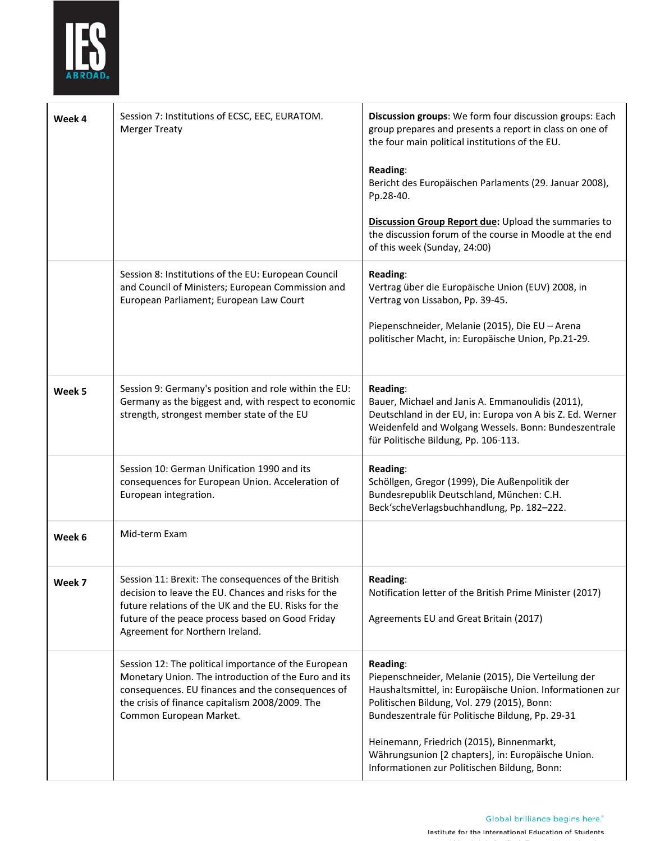

| Week 4 | Session 7: Institutions of ECSC, EEC, EURATOM.<br><b>Merger Treaty</b>                                                                                                                                                                                    | Discussion groups: We form four discussion groups: Each<br>group prepares and presents a report in class on one of<br>the four main political institutions of the EU.<br><b>Reading:</b><br>Bericht des Europäischen Parlaments (29. Januar 2008),<br>Pp.28-40.<br>Discussion Group Report due: Upload the summaries to<br>the discussion forum of the course in Moodle at the end<br>of this week (Sunday, 24:00) |
|--------|-----------------------------------------------------------------------------------------------------------------------------------------------------------------------------------------------------------------------------------------------------------|--------------------------------------------------------------------------------------------------------------------------------------------------------------------------------------------------------------------------------------------------------------------------------------------------------------------------------------------------------------------------------------------------------------------|
|        | Session 8: Institutions of the EU: European Council<br>and Council of Ministers; European Commission and<br>European Parliament; European Law Court                                                                                                       | Reading:<br>Vertrag über die Europäische Union (EUV) 2008, in<br>Vertrag von Lissabon, Pp. 39-45.<br>Piepenschneider, Melanie (2015), Die EU - Arena<br>politischer Macht, in: Europäische Union, Pp.21-29.                                                                                                                                                                                                        |
| Week 5 | Session 9: Germany's position and role within the EU:<br>Germany as the biggest and, with respect to economic<br>strength, strongest member state of the EU                                                                                               | Reading:<br>Bauer, Michael and Janis A. Emmanoulidis (2011),<br>Deutschland in der EU, in: Europa von A bis Z. Ed. Werner<br>Weidenfeld and Wolgang Wessels. Bonn: Bundeszentrale<br>für Politische Bildung, Pp. 106-113.                                                                                                                                                                                          |
|        | Session 10: German Unification 1990 and its<br>consequences for European Union. Acceleration of<br>European integration.                                                                                                                                  | Reading:<br>Schöllgen, Gregor (1999), Die Außenpolitik der<br>Bundesrepublik Deutschland, München: C.H.<br>Beck'scheVerlagsbuchhandlung, Pp. 182-222.                                                                                                                                                                                                                                                              |
| Week 6 | Mid-term Exam                                                                                                                                                                                                                                             |                                                                                                                                                                                                                                                                                                                                                                                                                    |
| Week 7 | Session 11: Brexit: The consequences of the British<br>decision to leave the EU. Chances and risks for the<br>future relations of the UK and the EU. Risks for the<br>future of the peace process based on Good Friday<br>Agreement for Northern Ireland. | Reading:<br>Notification letter of the British Prime Minister (2017)<br>Agreements EU and Great Britain (2017)                                                                                                                                                                                                                                                                                                     |
|        | Session 12: The political importance of the European<br>Monetary Union. The introduction of the Euro and its<br>consequences. EU finances and the consequences of<br>the crisis of finance capitalism 2008/2009. The<br>Common European Market.           | Reading:<br>Piepenschneider, Melanie (2015), Die Verteilung der<br>Haushaltsmittel, in: Europäische Union. Informationen zur<br>Politischen Bildung, Vol. 279 (2015), Bonn:<br>Bundeszentrale für Politische Bildung, Pp. 29-31<br>Heinemann, Friedrich (2015), Binnenmarkt,<br>Währungsunion [2 chapters], in: Europäische Union.<br>Informationen zur Politischen Bildung, Bonn:                                 |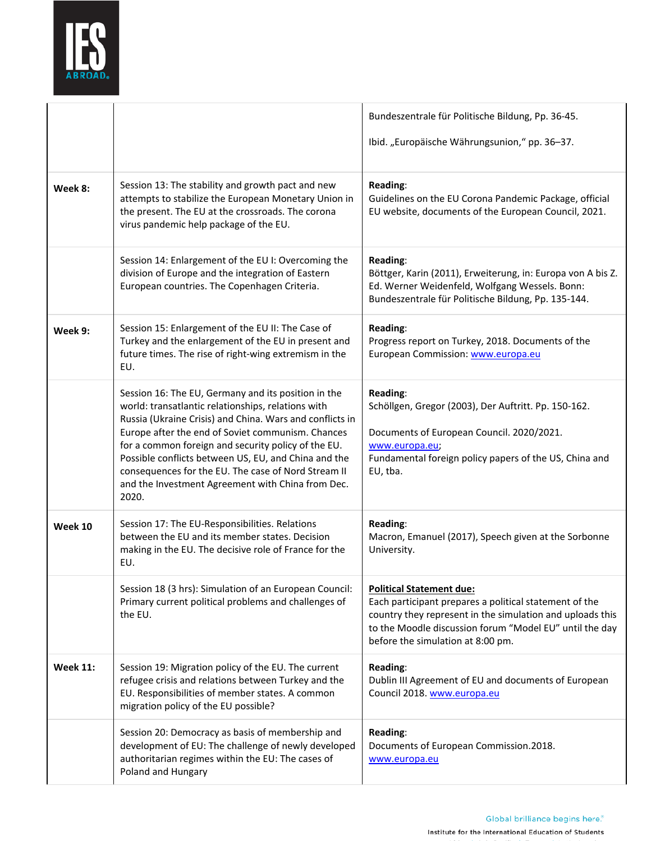

|                 |                                                                                                                                                                                                                                                                                                                                                                                                                                                                | Bundeszentrale für Politische Bildung, Pp. 36-45.<br>Ibid. "Europäische Währungsunion," pp. 36-37.                                                                                                                                                     |
|-----------------|----------------------------------------------------------------------------------------------------------------------------------------------------------------------------------------------------------------------------------------------------------------------------------------------------------------------------------------------------------------------------------------------------------------------------------------------------------------|--------------------------------------------------------------------------------------------------------------------------------------------------------------------------------------------------------------------------------------------------------|
| Week 8:         | Session 13: The stability and growth pact and new<br>attempts to stabilize the European Monetary Union in<br>the present. The EU at the crossroads. The corona<br>virus pandemic help package of the EU.                                                                                                                                                                                                                                                       | Reading:<br>Guidelines on the EU Corona Pandemic Package, official<br>EU website, documents of the European Council, 2021.                                                                                                                             |
|                 | Session 14: Enlargement of the EU I: Overcoming the<br>division of Europe and the integration of Eastern<br>European countries. The Copenhagen Criteria.                                                                                                                                                                                                                                                                                                       | Reading:<br>Böttger, Karin (2011), Erweiterung, in: Europa von A bis Z.<br>Ed. Werner Weidenfeld, Wolfgang Wessels. Bonn:<br>Bundeszentrale für Politische Bildung, Pp. 135-144.                                                                       |
| Week 9:         | Session 15: Enlargement of the EU II: The Case of<br>Turkey and the enlargement of the EU in present and<br>future times. The rise of right-wing extremism in the<br>EU.                                                                                                                                                                                                                                                                                       | Reading:<br>Progress report on Turkey, 2018. Documents of the<br>European Commission: www.europa.eu                                                                                                                                                    |
|                 | Session 16: The EU, Germany and its position in the<br>world: transatlantic relationships, relations with<br>Russia (Ukraine Crisis) and China. Wars and conflicts in<br>Europe after the end of Soviet communism. Chances<br>for a common foreign and security policy of the EU.<br>Possible conflicts between US, EU, and China and the<br>consequences for the EU. The case of Nord Stream II<br>and the Investment Agreement with China from Dec.<br>2020. | Reading:<br>Schöllgen, Gregor (2003), Der Auftritt. Pp. 150-162.<br>Documents of European Council. 2020/2021.<br>www.europa.eu;<br>Fundamental foreign policy papers of the US, China and<br>EU, tba.                                                  |
| Week 10         | Session 17: The EU-Responsibilities. Relations<br>between the EU and its member states. Decision<br>making in the EU. The decisive role of France for the<br>EU.                                                                                                                                                                                                                                                                                               | Reading:<br>Macron, Emanuel (2017), Speech given at the Sorbonne<br>University.                                                                                                                                                                        |
|                 | Session 18 (3 hrs): Simulation of an European Council:<br>Primary current political problems and challenges of<br>the EU.                                                                                                                                                                                                                                                                                                                                      | <b>Political Statement due:</b><br>Each participant prepares a political statement of the<br>country they represent in the simulation and uploads this<br>to the Moodle discussion forum "Model EU" until the day<br>before the simulation at 8:00 pm. |
| <b>Week 11:</b> | Session 19: Migration policy of the EU. The current<br>refugee crisis and relations between Turkey and the<br>EU. Responsibilities of member states. A common<br>migration policy of the EU possible?                                                                                                                                                                                                                                                          | Reading:<br>Dublin III Agreement of EU and documents of European<br>Council 2018. www.europa.eu                                                                                                                                                        |
|                 | Session 20: Democracy as basis of membership and<br>development of EU: The challenge of newly developed<br>authoritarian regimes within the EU: The cases of<br>Poland and Hungary                                                                                                                                                                                                                                                                             | Reading:<br>Documents of European Commission.2018.<br>www.europa.eu                                                                                                                                                                                    |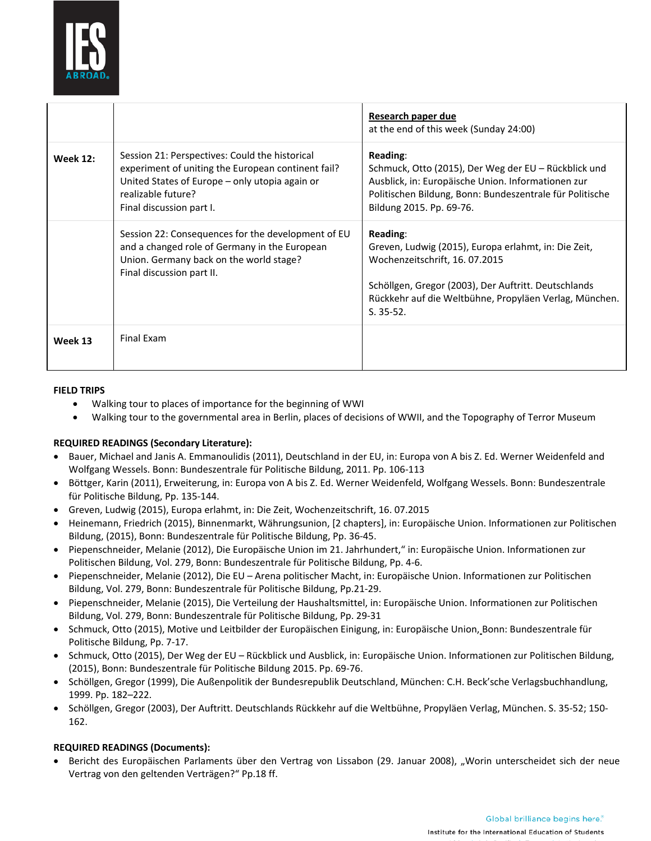

|                 |                                                                                                                                                                                                          | Research paper due<br>at the end of this week (Sunday 24:00)                                                                                                                                                                       |
|-----------------|----------------------------------------------------------------------------------------------------------------------------------------------------------------------------------------------------------|------------------------------------------------------------------------------------------------------------------------------------------------------------------------------------------------------------------------------------|
| <b>Week 12:</b> | Session 21: Perspectives: Could the historical<br>experiment of uniting the European continent fail?<br>United States of Europe - only utopia again or<br>realizable future?<br>Final discussion part I. | Reading:<br>Schmuck, Otto (2015), Der Weg der EU – Rückblick und<br>Ausblick, in: Europäische Union. Informationen zur<br>Politischen Bildung, Bonn: Bundeszentrale für Politische<br>Bildung 2015. Pp. 69-76.                     |
|                 | Session 22: Consequences for the development of EU<br>and a changed role of Germany in the European<br>Union. Germany back on the world stage?<br>Final discussion part II.                              | Reading:<br>Greven, Ludwig (2015), Europa erlahmt, in: Die Zeit,<br>Wochenzeitschrift, 16.07.2015<br>Schöllgen, Gregor (2003), Der Auftritt. Deutschlands<br>Rückkehr auf die Weltbühne, Propyläen Verlag, München.<br>$S. 35-52.$ |
| Week 13         | Final Exam                                                                                                                                                                                               |                                                                                                                                                                                                                                    |

## **FIELD TRIPS**

- Walking tour to places of importance for the beginning of WWI
- Walking tour to the governmental area in Berlin, places of decisions of WWII, and the Topography of Terror Museum

# **REQUIRED READINGS (Secondary Literature):**

- Bauer, Michael and Janis A. Emmanoulidis (2011), Deutschland in der EU, in: Europa von A bis Z. Ed. Werner Weidenfeld and Wolfgang Wessels. Bonn: Bundeszentrale für Politische Bildung, 2011. Pp. 106-113
- Böttger, Karin (2011), Erweiterung, in: Europa von A bis Z. Ed. Werner Weidenfeld, Wolfgang Wessels. Bonn: Bundeszentrale für Politische Bildung, Pp. 135-144.
- Greven, Ludwig (2015), Europa erlahmt, in: Die Zeit, Wochenzeitschrift, 16. 07.2015
- Heinemann, Friedrich (2015), Binnenmarkt, Währungsunion, [2 chapters], in: Europäische Union. Informationen zur Politischen Bildung, (2015), Bonn: Bundeszentrale für Politische Bildung, Pp. 36-45.
- Piepenschneider, Melanie (2012), Die Europäische Union im 21. Jahrhundert," in: Europäische Union. Informationen zur Politischen Bildung, Vol. 279, Bonn: Bundeszentrale für Politische Bildung, Pp. 4-6.
- Piepenschneider, Melanie (2012), Die EU Arena politischer Macht, in: Europäische Union. Informationen zur Politischen Bildung, Vol. 279, Bonn: Bundeszentrale für Politische Bildung, Pp.21-29.
- Piepenschneider, Melanie (2015), Die Verteilung der Haushaltsmittel, in: Europäische Union. Informationen zur Politischen Bildung, Vol. 279, Bonn: Bundeszentrale für Politische Bildung, Pp. 29-31
- Schmuck, Otto (2015), Motive und Leitbilder der Europäischen Einigung, in: Europäische Union, Bonn: Bundeszentrale für Politische Bildung, Pp. 7-17.
- Schmuck, Otto (2015), Der Weg der EU Rückblick und Ausblick, in: Europäische Union. Informationen zur Politischen Bildung, (2015), Bonn: Bundeszentrale für Politische Bildung 2015. Pp. 69-76.
- Schöllgen, Gregor (1999), Die Außenpolitik der Bundesrepublik Deutschland, München: C.H. Beck'sche Verlagsbuchhandlung, 1999. Pp. 182–222.
- Schöllgen, Gregor (2003), Der Auftritt. Deutschlands Rückkehr auf die Weltbühne, Propyläen Verlag, München. S. 35-52; 150- 162.

## **REQUIRED READINGS (Documents):**

Bericht des Europäischen Parlaments über den Vertrag von Lissabon (29. Januar 2008), "Worin unterscheidet sich der neue Vertrag von den geltenden Verträgen?" Pp.18 ff.